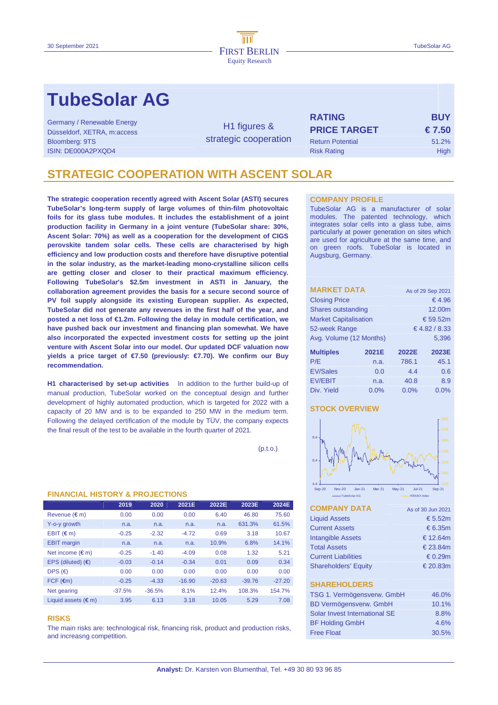# **TubeSolar AG**

| Germany / Renewable Energy<br>Düsseldorf, XETRA, m:access<br>Bloomberg: 9TS<br>ISIN: DE000A2PXQD4 | H <sub>1</sub> figures &<br>strategic cooperation | <b>RATING</b><br><b>PRICE TARGET</b><br><b>Return Potential</b><br><b>Risk Rating</b> | <b>BUY</b><br>$\epsilon$ 7.50<br>51.2%<br><b>High</b> |
|---------------------------------------------------------------------------------------------------|---------------------------------------------------|---------------------------------------------------------------------------------------|-------------------------------------------------------|
|                                                                                                   |                                                   |                                                                                       |                                                       |

## **STRATEGIC COOPERATION WITH ASCENT SOLAR**

**The strategic cooperation recently agreed with Ascent Solar (ASTI) secures TubeSolar's long-term supply of large volumes of thin-film photovoltaic foils for its glass tube modules. It includes the establishment of a joint production facility in Germany in a joint venture (TubeSolar share: 30%, Ascent Solar: 70%) as well as a cooperation for the development of CIGS perovskite tandem solar cells. These cells are characterised by high efficiency and low production costs and therefore have disruptive potential in the solar industry, as the market-leading mono-crystalline silicon cells are getting closer and closer to their practical maximum efficiency. Following TubeSolar's \$2.5m investment in ASTI in January, the collaboration agreement provides the basis for a secure second source of PV foil supply alongside its existing European supplier. As expected, TubeSolar did not generate any revenues in the first half of the year, and posted a net loss of €1.2m. Following the delay in module certification, we have pushed back our investment and financing plan somewhat. We have also incorporated the expected investment costs for setting up the joint venture with Ascent Solar into our model. Our updated DCF valuation now yields a price target of €7.50 (previously: €7.70). We confirm our Buy recommendation.** 

**H1 characterised by set-up activities** In addition to the further build-up of manual production, TubeSolar worked on the conceptual design and further development of highly automated production, which is targeted for 2022 with a capacity of 20 MW and is to be expanded to 250 MW in the medium term. Following the delayed certification of the module by TÜV, the company expects the final result of the test to be available in the fourth quarter of 2021.

 $(p.t.o.)$ 

## **FINANCIAL HISTORY & PROJECTIONS**

|                              | 2019     | 2020     | 2021E    | 2022E    | 2023E    | 2024E    |
|------------------------------|----------|----------|----------|----------|----------|----------|
| Revenue $(\epsilon m)$       | 0.00     | 0.00     | 0.00     | 6.40     | 46.80    | 75.60    |
| Y-o-y growth                 | n.a.     | n.a.     | n.a.     | n.a.     | 631.3%   | 61.5%    |
| $EBIT$ ( $\in$ m)            | $-0.25$  | $-2.32$  | $-4.72$  | 0.69     | 3.18     | 10.67    |
| <b>EBIT</b> margin           | n.a.     | n.a.     | n.a.     | 10.9%    | 6.8%     | 14.1%    |
| Net income $(\epsilon m)$    | $-0.25$  | $-1.40$  | $-4.09$  | 0.08     | 1.32     | 5.21     |
| EPS (diluted) $(6)$          | $-0.03$  | $-0.14$  | $-0.34$  | 0.01     | 0.09     | 0.34     |
| DPS $(\epsilon)$             | 0.00     | 0.00     | 0.00     | 0.00     | 0.00     | 0.00     |
| $FCF$ ( $\epsilon$ m)        | $-0.25$  | $-4.33$  | $-16.90$ | $-20.63$ | $-39.76$ | $-27.20$ |
| Net gearing                  | $-37.5%$ | $-36.5%$ | 8.1%     | 12.4%    | 108.3%   | 154.7%   |
| Liquid assets $(\epsilon m)$ | 3.95     | 6.13     | 3.18     | 10.05    | 5.29     | 7.08     |

### **RISKS**

The main risks are: technological risk, financing risk, product and production risks, and increasng competition.

### **COMPANY PROFILE**

TubeSolar AG is a manufacturer of solar modules. The patented technology, which integrates solar cells into a glass tube, aims particularly at power generation on sites which are used for agriculture at the same time, and on green roofs. TubeSolar is located in Augsburg, Germany.

| <b>MARKET DATA</b>           | As of 29 Sep 2021 |          |       |  |  |
|------------------------------|-------------------|----------|-------|--|--|
| <b>Closing Price</b>         | €4.96             |          |       |  |  |
| Shares outstanding           |                   | 12.00m   |       |  |  |
| <b>Market Capitalisation</b> |                   | € 59.52m |       |  |  |
| 52-week Range                | € 4.82 / 8.33     |          |       |  |  |
| Avg. Volume (12 Months)      |                   | 5.396    |       |  |  |
| <b>Multiples</b>             | 2021E             | 2022E    | 2023E |  |  |
| P/E                          | n.a.              | 786.1    | 45.1  |  |  |
| <b>EV/Sales</b>              | 0.6<br>4.4        |          |       |  |  |
| <b>EV/EBIT</b>               | n.a.              | 40.8     | 8.9   |  |  |
| Div. Yield                   | $0.0\%$           | 0.0%     | 0.0%  |  |  |

## **STOCK OVERVIEW**



| <b>COMPANY DATA</b>         | As of 30 Jun 2021 |
|-----------------------------|-------------------|
| <b>Liquid Assets</b>        | € 5.52m           |
| <b>Current Assets</b>       | $\epsilon$ 6.35m  |
| <b>Intangible Assets</b>    | € 12.64m          |
| <b>Total Assets</b>         | € 23.84 $m$       |
| <b>Current Liabilities</b>  | € 0.29m           |
| <b>Shareholders' Equity</b> | € 20.83 $m$       |
|                             |                   |
| <b>SHAREHOLDERS</b>         |                   |

| TSG 1. Vermögensverw. GmbH    | 46.0% |
|-------------------------------|-------|
| <b>BD Vermögensverw. GmbH</b> | 10.1% |
| Solar Invest International SE | 8.8%  |
| <b>BF Holding GmbH</b>        | 4.6%  |
| <b>Free Float</b>             | 30.5% |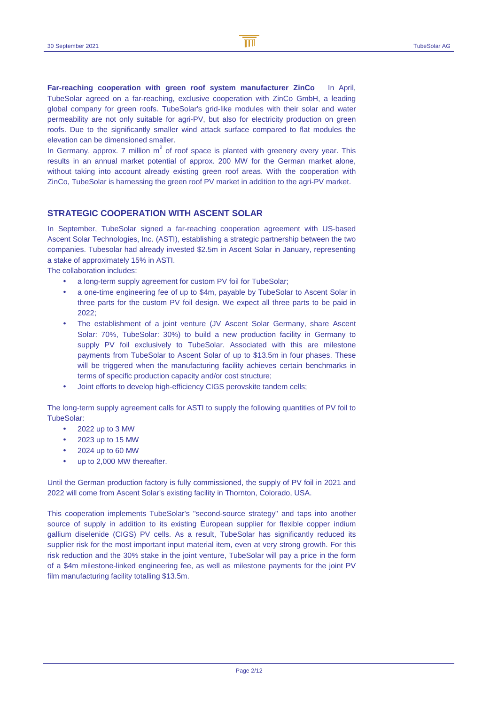**Far-reaching cooperation with green roof system manufacturer ZinCo** In April, TubeSolar agreed on a far-reaching, exclusive cooperation with ZinCo GmbH, a leading global company for green roofs. TubeSolar's grid-like modules with their solar and water permeability are not only suitable for agri-PV, but also for electricity production on green roofs. Due to the significantly smaller wind attack surface compared to flat modules the elevation can be dimensioned smaller.

In Germany, approx. 7 million  $m^2$  of roof space is planted with greenery every year. This results in an annual market potential of approx. 200 MW for the German market alone, without taking into account already existing green roof areas. With the cooperation with ZinCo, TubeSolar is harnessing the green roof PV market in addition to the agri-PV market.

## **STRATEGIC COOPERATION WITH ASCENT SOLAR**

In September, TubeSolar signed a far-reaching cooperation agreement with US-based Ascent Solar Technologies, Inc. (ASTI), establishing a strategic partnership between the two companies. Tubesolar had already invested \$2.5m in Ascent Solar in January, representing a stake of approximately 15% in ASTI.

The collaboration includes:

- a long-term supply agreement for custom PV foil for TubeSolar:
- a one-time engineering fee of up to \$4m, payable by TubeSolar to Ascent Solar in three parts for the custom PV foil design. We expect all three parts to be paid in 2022;
- The establishment of a joint venture (JV Ascent Solar Germany, share Ascent Solar: 70%, TubeSolar: 30%) to build a new production facility in Germany to supply PV foil exclusively to TubeSolar. Associated with this are milestone payments from TubeSolar to Ascent Solar of up to \$13.5m in four phases. These will be triggered when the manufacturing facility achieves certain benchmarks in terms of specific production capacity and/or cost structure;
- Joint efforts to develop high-efficiency CIGS perovskite tandem cells;

The long-term supply agreement calls for ASTI to supply the following quantities of PV foil to TubeSolar:

- 2022 up to 3 MW
- 2023 up to 15 MW
- 2024 up to 60 MW
- up to 2,000 MW thereafter.

Until the German production factory is fully commissioned, the supply of PV foil in 2021 and 2022 will come from Ascent Solar's existing facility in Thornton, Colorado, USA.

This cooperation implements TubeSolar's "second-source strategy" and taps into another source of supply in addition to its existing European supplier for flexible copper indium gallium diselenide (CIGS) PV cells. As a result, TubeSolar has significantly reduced its supplier risk for the most important input material item, even at very strong growth. For this risk reduction and the 30% stake in the joint venture, TubeSolar will pay a price in the form of a \$4m milestone-linked engineering fee, as well as milestone payments for the joint PV film manufacturing facility totalling \$13.5m.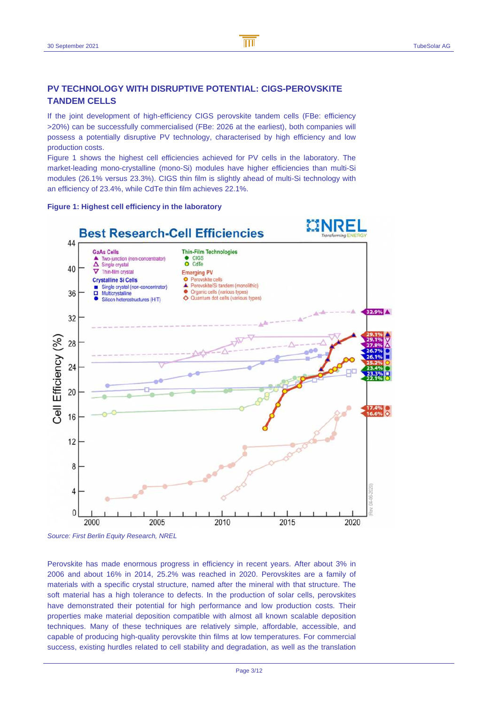## **PV TECHNOLOGY WITH DISRUPTIVE POTENTIAL: CIGS-PEROVSKITE TANDEM CELLS**

If the joint development of high-efficiency CIGS perovskite tandem cells (FBe: efficiency >20%) can be successfully commercialised (FBe: 2026 at the earliest), both companies will possess a potentially disruptive PV technology, characterised by high efficiency and low production costs.

Figure 1 shows the highest cell efficiencies achieved for PV cells in the laboratory. The market-leading mono-crystalline (mono-Si) modules have higher efficiencies than multi-Si modules (26.1% versus 23.3%). CIGS thin film is slightly ahead of multi-Si technology with an efficiency of 23.4%, while CdTe thin film achieves 22.1%.





Source: First Berlin Equity Research, NREL

Perovskite has made enormous progress in efficiency in recent years. After about 3% in 2006 and about 16% in 2014, 25.2% was reached in 2020. Perovskites are a family of materials with a specific crystal structure, named after the mineral with that structure. The soft material has a high tolerance to defects. In the production of solar cells, perovskites have demonstrated their potential for high performance and low production costs. Their properties make material deposition compatible with almost all known scalable deposition techniques. Many of these techniques are relatively simple, affordable, accessible, and capable of producing high-quality perovskite thin films at low temperatures. For commercial success, existing hurdles related to cell stability and degradation, as well as the translation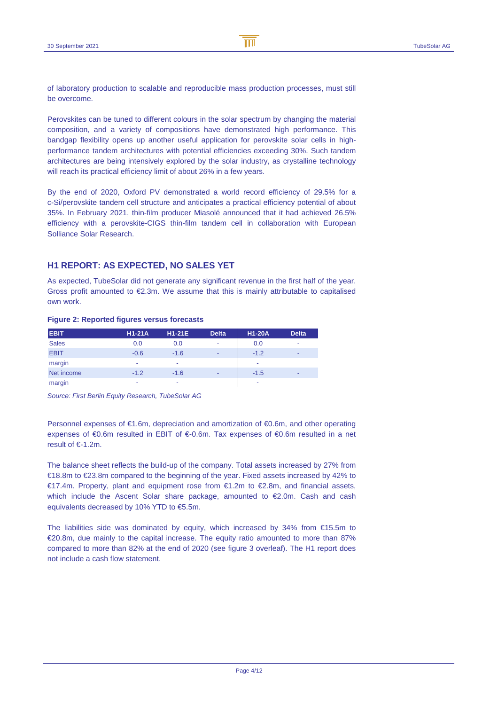of laboratory production to scalable and reproducible mass production processes, must still be overcome.

Perovskites can be tuned to different colours in the solar spectrum by changing the material composition, and a variety of compositions have demonstrated high performance. This bandgap flexibility opens up another useful application for perovskite solar cells in highperformance tandem architectures with potential efficiencies exceeding 30%. Such tandem architectures are being intensively explored by the solar industry, as crystalline technology will reach its practical efficiency limit of about 26% in a few years.

By the end of 2020, Oxford PV demonstrated a world record efficiency of 29.5% for a c-Si/perovskite tandem cell structure and anticipates a practical efficiency potential of about 35%. In February 2021, thin-film producer Miasolé announced that it had achieved 26.5% efficiency with a perovskite-CIGS thin-film tandem cell in collaboration with European Solliance Solar Research.

## **H1 REPORT: AS EXPECTED, NO SALES YET**

As expected, TubeSolar did not generate any significant revenue in the first half of the year. Gross profit amounted to  $E2.3m$ . We assume that this is mainly attributable to capitalised own work.

### **Figure 2: Reported figures versus forecasts**

| <b>EBIT</b>  | $H1-21A$ | $H1-21E$ | <b>Delta</b> | <b>H1-20A</b> | <b>Delta</b> |
|--------------|----------|----------|--------------|---------------|--------------|
| <b>Sales</b> | 0.0      | 0.0      | ٠            | 0.0           | ٠            |
| <b>EBIT</b>  | $-0.6$   | $-1.6$   | ٠            | $-1.2$        | ۰            |
| margin       | ٠        | ٠        |              | ٠             |              |
| Net income   | $-1.2$   | $-1.6$   | ۰            | $-1.5$        | -            |
| margin       | ۰        | ۰        |              | ۰             |              |

Source: First Berlin Equity Research, TubeSolar AG

Personnel expenses of €1.6m, depreciation and amortization of €0.6m, and other operating expenses of €0.6m resulted in EBIT of €-0.6m. Tax expenses of €0.6m resulted in a net result of €-1.2m.

The balance sheet reflects the build-up of the company. Total assets increased by 27% from €18.8m to €23.8m compared to the beginning of the year. Fixed assets increased by 42% to €17.4m. Property, plant and equipment rose from  $€1.2m$  to  $€2.8m$ , and financial assets, which include the Ascent Solar share package, amounted to €2.0m. Cash and cash equivalents decreased by 10% YTD to €5.5m.

The liabilities side was dominated by equity, which increased by 34% from €15.5m to €20.8m, due mainly to the capital increase. The equity ratio amounted to more than 87% compared to more than 82% at the end of 2020 (see figure 3 overleaf). The H1 report does not include a cash flow statement.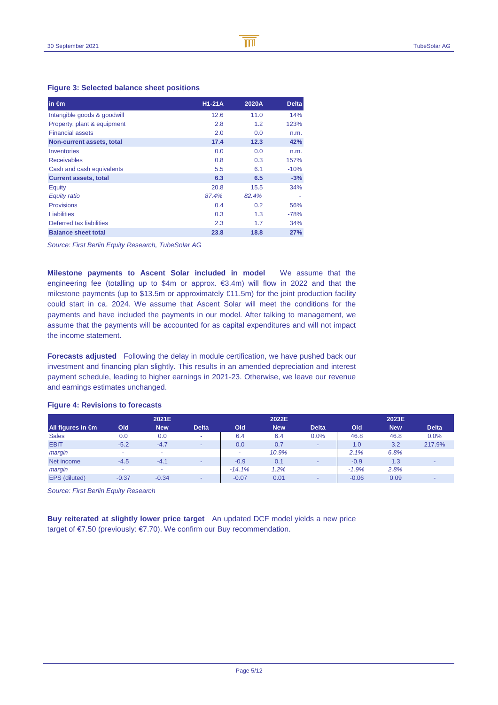## **Figure 3: Selected balance sheet positions**

| in $\epsilon$ m              | $H1-21A$ | 2020A | <b>Delta</b> |
|------------------------------|----------|-------|--------------|
| Intangible goods & goodwill  | 12.6     | 11.0  | 14%          |
| Property, plant & equipment  | 2.8      | 1.2   | 123%         |
| <b>Financial assets</b>      | 2.0      | 0.0   | n.m.         |
| Non-current assets, total    | 17.4     | 12.3  | 42%          |
| Inventories                  | 0.0      | 0.0   | n.m.         |
| <b>Receivables</b>           | 0.8      | 0.3   | 157%         |
| Cash and cash equivalents    | 5.5      | 6.1   | $-10%$       |
| <b>Current assets, total</b> | 6.3      | 6.5   | $-3%$        |
| <b>Equity</b>                | 20.8     | 15.5  | 34%          |
| Equity ratio                 | 87.4%    | 82.4% |              |
| <b>Provisions</b>            | 0.4      | 0.2   | 56%          |
| <b>Liabilities</b>           | 0.3      | 1.3   | $-78%$       |
| Deferred tax liabilities     | 2.3      | 1.7   | 34%          |
| <b>Balance sheet total</b>   | 23.8     | 18.8  | 27%          |

Source: First Berlin Equity Research, TubeSolar AG

**Milestone payments to Ascent Solar included in model** We assume that the engineering fee (totalling up to \$4m or approx. €3.4m) will flow in 2022 and that the milestone payments (up to \$13.5m or approximately €11.5m) for the joint production facility could start in ca. 2024. We assume that Ascent Solar will meet the conditions for the payments and have included the payments in our model. After talking to management, we assume that the payments will be accounted for as capital expenditures and will not impact the income statement.

**Forecasts adjusted** Following the delay in module certification, we have pushed back our investment and financing plan slightly. This results in an amended depreciation and interest payment schedule, leading to higher earnings in 2021-23. Otherwise, we leave our revenue and earnings estimates unchanged.

|                   |         | 2021E      |                          |          | 2022E      |                          |         | 2023E      |              |
|-------------------|---------|------------|--------------------------|----------|------------|--------------------------|---------|------------|--------------|
| All figures in €m | Old     | <b>New</b> | <b>Delta</b>             | Old      | <b>New</b> | <b>Delta</b>             | Old     | <b>New</b> | <b>Delta</b> |
| <b>Sales</b>      | 0.0     | 0.0        | $\overline{\phantom{a}}$ | 6.4      | 6.4        | 0.0%                     | 46.8    | 46.8       | 0.0%         |
| <b>EBIT</b>       | $-5.2$  | $-4.7$     | $\sim$                   | 0.0      | 0.7        | $\overline{\phantom{a}}$ | 1.0     | 3.2        | 217.9%       |
| margin            |         | -          |                          | ۰        | 10.9%      |                          | 2.1%    | 6.8%       |              |
| Net income        | $-4.5$  | $-4.1$     | $\overline{\phantom{a}}$ | $-0.9$   | 0.1        |                          | $-0.9$  | 1.3        |              |
| margin            |         | ۰          |                          | $-14.1%$ | 1.2%       |                          | $-1.9%$ | 2.8%       |              |
| EPS (diluted)     | $-0.37$ | $-0.34$    | $\blacksquare$           | $-0.07$  | 0.01       | $\overline{\phantom{a}}$ | $-0.06$ | 0.09       |              |
|                   |         |            |                          |          |            |                          |         |            |              |

### **Figure 4: Revisions to forecasts**

Source: First Berlin Equity Research

**Buy reiterated at slightly lower price target** An updated DCF model yields a new price target of €7.50 (previously: €7.70). We confirm our Buy recommendation.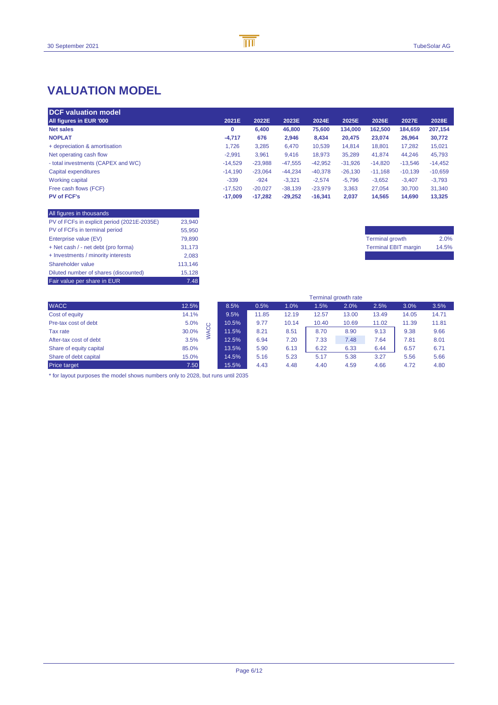## **VALUATION MODEL**

| <b>DCF valuation model</b>         |           |           |           |           |           |           |           |           |
|------------------------------------|-----------|-----------|-----------|-----------|-----------|-----------|-----------|-----------|
| All figures in EUR '000            | 2021E     | 2022E     | 2023E     | 2024E     | 2025E     | 2026E     | 2027E     | 2028E     |
| <b>Net sales</b>                   | 0         | 6.400     | 46,800    | 75,600    | 134,000   | 162,500   | 184,659   | 207,154   |
| <b>NOPLAT</b>                      | $-4.717$  | 676       | 2,946     | 8,434     | 20.475    | 23,074    | 26,964    | 30,772    |
| + depreciation & amortisation      | 1.726     | 3,285     | 6,470     | 10,539    | 14.814    | 18,801    | 17,282    | 15,021    |
| Net operating cash flow            | $-2.991$  | 3,961     | 9,416     | 18,973    | 35,289    | 41,874    | 44,246    | 45,793    |
| - total investments (CAPEX and WC) | $-14.529$ | $-23,988$ | $-47,555$ | $-42,952$ | $-31.926$ | $-14,820$ | $-13.546$ | $-14,452$ |
| Capital expenditures               | $-14.190$ | $-23,064$ | $-44,234$ | $-40,378$ | $-26.130$ | $-11,168$ | $-10,139$ | $-10,659$ |
| <b>Working capital</b>             | $-339$    | $-924$    | $-3.321$  | $-2,574$  | $-5.796$  | $-3,652$  | $-3,407$  | $-3,793$  |
| Free cash flows (FCF)              | $-17,520$ | $-20,027$ | $-38,139$ | $-23,979$ | 3,363     | 27,054    | 30,700    | 31,340    |
| <b>PV of FCF's</b>                 | $-17.009$ | $-17,282$ | $-29.252$ | $-16.341$ | 2.037     | 14,565    | 14,690    | 13,325    |

| All figures in thousands                    |         |
|---------------------------------------------|---------|
| PV of FCFs in explicit period (2021E-2035E) | 23.940  |
| PV of FCFs in terminal period               | 55.950  |
| Enterprise value (EV)                       | 79.890  |
| + Net cash / - net debt (pro forma)         | 31.173  |
| + Investments / minority interests          | 2.083   |
| Shareholder value                           | 113.146 |
| Diluted number of shares (discounted)       | 15.128  |
| Fair value per share in EUR                 | 7.48    |

| <b>Terminal growth</b>      | 2.0%  |
|-----------------------------|-------|
| <b>Terminal EBIT margin</b> | 14.5% |
|                             |       |

|                         |       |   |       |       |       | Terminal growth rate |       |       |       |       |
|-------------------------|-------|---|-------|-------|-------|----------------------|-------|-------|-------|-------|
| <b>WACC</b>             | 12.5% |   | 8.5%  | 0.5%  | 1.0%  | 1.5%                 | 2.0%  | 2.5%  | 3.0%  | 3.5%  |
| Cost of equity          | 14.1% |   | 9.5%  | 11.85 | 12.19 | 12.57                | 13.00 | 13.49 | 14.05 | 14.71 |
| Pre-tax cost of debt    | 5.0%  |   | 10.5% | 9.77  | 10.14 | 10.40                | 10.69 | 11.02 | 11.39 | 11.81 |
| Tax rate                | 30.0% | O | 11.5% | 8.21  | 8.51  | 8.70                 | 8.90  | 9.13  | 9.38  | 9.66  |
| After-tax cost of debt  | 3.5%  |   | 12.5% | 6.94  | 7.20  | 7.33                 | 7.48  | 7.64  | 7.81  | 8.01  |
| Share of equity capital | 85.0% |   | 13.5% | 5.90  | 6.13  | 6.22                 | 6.33  | 6.44  | 6.57  | 6.71  |
| Share of debt capital   | 15.0% |   | 14.5% | 5.16  | 5.23  | 5.17                 | 5.38  | 3.27  | 5.56  | 5.66  |
| Price target            | 7.50  |   | 15.5% | 4.43  | 4.48  | 4.40                 | 4.59  | 4.66  | 4.72  | 4.80  |

\* for layout purposes the model shows numbers only to 2028, but runs until 2035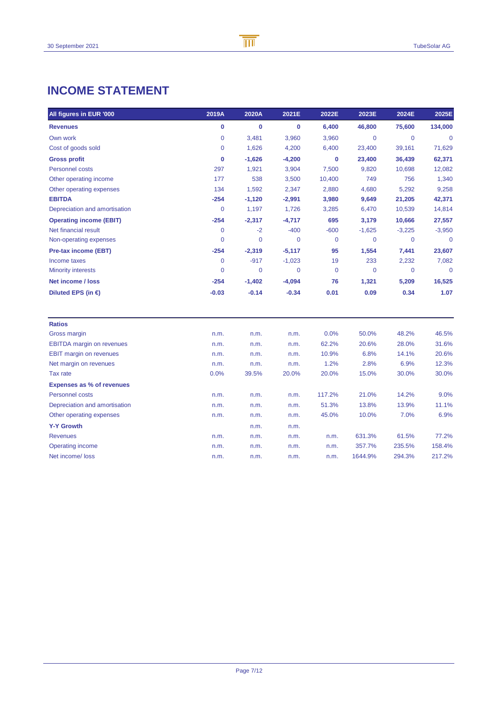## **INCOME STATEMENT**

| All figures in EUR '000          | 2019A          | 2020A       | 2021E       | 2022E       | 2023E          | 2024E        | 2025E       |
|----------------------------------|----------------|-------------|-------------|-------------|----------------|--------------|-------------|
| <b>Revenues</b>                  | 0              | $\bf{0}$    | 0           | 6,400       | 46,800         | 75,600       | 134,000     |
| Own work                         | 0              | 3,481       | 3,960       | 3,960       | $\overline{0}$ | $\mathbf{0}$ | $\Omega$    |
| Cost of goods sold               | 0              | 1,626       | 4,200       | 6,400       | 23,400         | 39,161       | 71,629      |
| <b>Gross profit</b>              | 0              | $-1,626$    | $-4,200$    | $\mathbf 0$ | 23,400         | 36,439       | 62,371      |
| Personnel costs                  | 297            | 1,921       | 3,904       | 7,500       | 9,820          | 10,698       | 12,082      |
| Other operating income           | 177            | 538         | 3,500       | 10,400      | 749            | 756          | 1,340       |
| Other operating expenses         | 134            | 1,592       | 2,347       | 2,880       | 4,680          | 5,292        | 9,258       |
| <b>EBITDA</b>                    | $-254$         | $-1,120$    | $-2,991$    | 3,980       | 9,649          | 21,205       | 42,371      |
| Depreciation and amortisation    | $\overline{0}$ | 1,197       | 1,726       | 3,285       | 6,470          | 10,539       | 14,814      |
| <b>Operating income (EBIT)</b>   | $-254$         | $-2,317$    | $-4,717$    | 695         | 3,179          | 10,666       | 27,557      |
| Net financial result             | 0              | $-2$        | $-400$      | $-600$      | $-1,625$       | $-3,225$     | $-3,950$    |
| Non-operating expenses           | 0              | $\mathbf 0$ | 0           | $\mathbf 0$ | $\mathbf 0$    | $\mathbf 0$  | $\mathbf 0$ |
| Pre-tax income (EBT)             | $-254$         | $-2,319$    | $-5,117$    | 95          | 1,554          | 7,441        | 23,607      |
| Income taxes                     | 0              | $-917$      | $-1,023$    | 19          | 233            | 2,232        | 7,082       |
| <b>Minority interests</b>        | $\overline{0}$ | 0           | $\mathbf 0$ | $\mathbf 0$ | $\overline{0}$ | $\mathbf 0$  | $\Omega$    |
| Net income / loss                | $-254$         | $-1,402$    | $-4,094$    | 76          | 1,321          | 5,209        | 16,525      |
| Diluted EPS (in $\epsilon$ )     | $-0.03$        | $-0.14$     | $-0.34$     | 0.01        | 0.09           | 0.34         | 1.07        |
| <b>Ratios</b>                    |                |             |             |             |                |              |             |
| Gross margin                     | n.m.           | n.m.        | n.m.        | 0.0%        | 50.0%          | 48.2%        | 46.5%       |
| <b>EBITDA</b> margin on revenues | n.m.           | n.m.        | n.m.        | 62.2%       | 20.6%          | 28.0%        | 31.6%       |
| <b>EBIT margin on revenues</b>   | n.m.           | n.m.        | n.m.        | 10.9%       | 6.8%           | 14.1%        | 20.6%       |
| Net margin on revenues           | n.m.           | n.m.        | n.m.        | 1.2%        | 2.8%           | 6.9%         | 12.3%       |
| Tax rate                         | 0.0%           | 39.5%       | 20.0%       | 20.0%       | 15.0%          | 30.0%        | 30.0%       |
| <b>Expenses as % of revenues</b> |                |             |             |             |                |              |             |
| <b>Personnel costs</b>           | n.m.           | n.m.        | n.m.        | 117.2%      | 21.0%          | 14.2%        | 9.0%        |
| Depreciation and amortisation    | n.m.           | n.m.        | n.m.        | 51.3%       | 13.8%          | 13.9%        | 11.1%       |
| Other operating expenses         | n.m.           | n.m.        | n.m.        | 45.0%       | 10.0%          | 7.0%         | 6.9%        |
| <b>Y-Y Growth</b>                |                | n.m.        | n.m.        |             |                |              |             |
| <b>Revenues</b>                  | n.m.           | n.m.        | n.m.        | n.m.        | 631.3%         | 61.5%        | 77.2%       |
| <b>Operating income</b>          | n.m.           | n.m.        | n.m.        | n.m.        | 357.7%         | 235.5%       | 158.4%      |
| Net income/loss                  | n.m.           | n.m.        | n.m.        | n.m.        | 1644.9%        | 294.3%       | 217.2%      |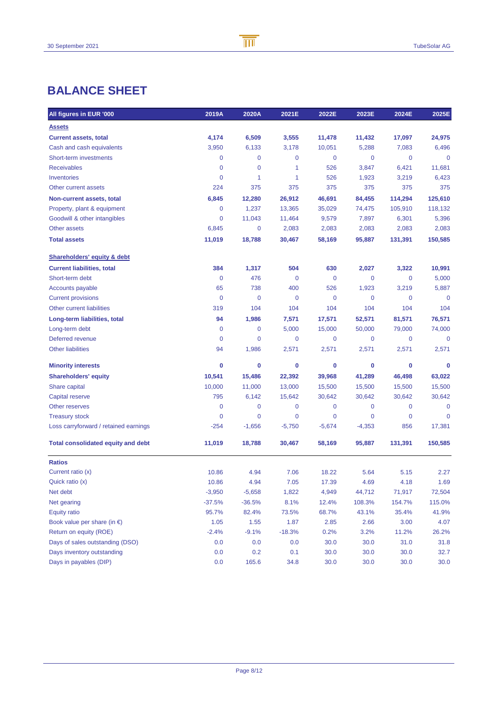## **BALANCE SHEET**

| All figures in EUR '000                   | 2019A       | 2020A          | 2021E       | 2022E    | 2023E    | 2024E       | 2025E       |
|-------------------------------------------|-------------|----------------|-------------|----------|----------|-------------|-------------|
| <b>Assets</b>                             |             |                |             |          |          |             |             |
| <b>Current assets, total</b>              | 4,174       | 6,509          | 3,555       | 11,478   | 11,432   | 17,097      | 24,975      |
| Cash and cash equivalents                 | 3,950       | 6,133          | 3,178       | 10,051   | 5,288    | 7,083       | 6,496       |
| Short-term investments                    | 0           | 0              | 0           | 0        | 0        | 0           | $\mathbf 0$ |
| <b>Receivables</b>                        | 0           | 0              | 1           | 526      | 3,847    | 6,421       | 11,681      |
| Inventories                               | $\mathbf 0$ | 1              | 1           | 526      | 1,923    | 3,219       | 6,423       |
| Other current assets                      | 224         | 375            | 375         | 375      | 375      | 375         | 375         |
| Non-current assets, total                 | 6,845       | 12,280         | 26,912      | 46,691   | 84,455   | 114,294     | 125,610     |
| Property, plant & equipment               | 0           | 1,237          | 13,365      | 35,029   | 74,475   | 105,910     | 118,132     |
| Goodwill & other intangibles              | 0           | 11,043         | 11,464      | 9,579    | 7,897    | 6,301       | 5,396       |
| Other assets                              | 6,845       | 0              | 2,083       | 2,083    | 2,083    | 2,083       | 2,083       |
| <b>Total assets</b>                       | 11,019      | 18,788         | 30,467      | 58,169   | 95,887   | 131,391     | 150,585     |
| <b>Shareholders' equity &amp; debt</b>    |             |                |             |          |          |             |             |
| <b>Current liabilities, total</b>         | 384         | 1,317          | 504         | 630      | 2,027    | 3,322       | 10,991      |
| Short-term debt                           | $\mathbf 0$ | 476            | 0           | 0        | 0        | 0           | 5,000       |
| <b>Accounts payable</b>                   | 65          | 738            | 400         | 526      | 1,923    | 3,219       | 5,887       |
| <b>Current provisions</b>                 | $\mathbf 0$ | $\mathbf 0$    | $\mathbf 0$ | 0        | 0        | 0           | $\mathbf 0$ |
| Other current liabilities                 | 319         | 104            | 104         | 104      | 104      | 104         | 104         |
| Long-term liabilities, total              | 94          | 1,986          | 7,571       | 17,571   | 52,571   | 81,571      | 76,571      |
| Long-term debt                            | 0           | 0              | 5,000       | 15,000   | 50,000   | 79,000      | 74,000      |
| Deferred revenue                          | $\mathbf 0$ | 0              | 0           | 0        | 0        | 0           | $\mathbf 0$ |
| <b>Other liabilities</b>                  | 94          | 1,986          | 2,571       | 2,571    | 2,571    | 2,571       | 2,571       |
| <b>Minority interests</b>                 | 0           | 0              | 0           | 0        | 0        | 0           | 0           |
| <b>Shareholders' equity</b>               | 10,541      | 15,486         | 22,392      | 39,968   | 41,289   | 46,498      | 63,022      |
| Share capital                             | 10,000      | 11,000         | 13,000      | 15,500   | 15,500   | 15,500      | 15,500      |
| Capital reserve                           | 795         | 6,142          | 15,642      | 30,642   | 30,642   | 30,642      | 30,642      |
| Other reserves                            | 0           | 0              | 0           | 0        | 0        | 0           | $\mathbf 0$ |
| <b>Treasury stock</b>                     | 0           | $\overline{0}$ | 0           | 0        | 0        | $\mathbf 0$ | $\mathbf 0$ |
| Loss carryforward / retained earnings     | $-254$      | $-1,656$       | $-5,750$    | $-5,674$ | $-4,353$ | 856         | 17,381      |
| <b>Total consolidated equity and debt</b> | 11,019      | 18,788         | 30,467      | 58,169   | 95,887   | 131,391     | 150,585     |
| <b>Ratios</b>                             |             |                |             |          |          |             |             |
| Current ratio (x)                         | 10.86       | 4.94           | 7.06        | 18.22    | 5.64     | 5.15        | 2.27        |
| Quick ratio (x)                           | 10.86       | 4.94           | 7.05        | 17.39    | 4.69     | 4.18        | 1.69        |
| Net debt                                  | $-3,950$    | $-5,658$       | 1,822       | 4,949    | 44,712   | 71,917      | 72,504      |
| Net gearing                               | $-37.5%$    | $-36.5%$       | 8.1%        | 12.4%    | 108.3%   | 154.7%      | 115.0%      |
| <b>Equity ratio</b>                       | 95.7%       | 82.4%          | 73.5%       | 68.7%    | 43.1%    | 35.4%       | 41.9%       |
| Book value per share (in $\epsilon$ )     | 1.05        | 1.55           | 1.87        | 2.85     | 2.66     | 3.00        | 4.07        |
| Return on equity (ROE)                    | $-2.4%$     | $-9.1%$        | $-18.3%$    | 0.2%     | 3.2%     | 11.2%       | 26.2%       |
| Days of sales outstanding (DSO)           | 0.0         | 0.0            | 0.0         | 30.0     | 30.0     | 31.0        | 31.8        |
| Days inventory outstanding                | 0.0         | 0.2            | 0.1         | 30.0     | 30.0     | 30.0        | 32.7        |
| Days in payables (DIP)                    | 0.0         | 165.6          | 34.8        | 30.0     | 30.0     | 30.0        | 30.0        |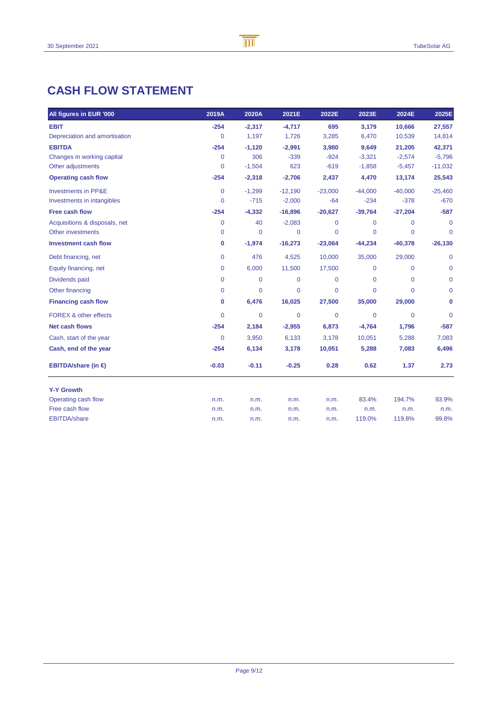## **CASH FLOW STATEMENT**

| All figures in EUR '000          | 2019A   | 2020A        | 2021E       | 2022E          | 2023E          | 2024E        | 2025E          |
|----------------------------------|---------|--------------|-------------|----------------|----------------|--------------|----------------|
| <b>EBIT</b>                      | $-254$  | $-2,317$     | $-4,717$    | 695            | 3,179          | 10,666       | 27,557         |
| Depreciation and amortisation    | 0       | 1,197        | 1,726       | 3,285          | 6,470          | 10,539       | 14,814         |
| <b>EBITDA</b>                    | $-254$  | $-1,120$     | $-2,991$    | 3,980          | 9,649          | 21,205       | 42,371         |
| Changes in working capital       | 0       | 306          | $-339$      | $-924$         | $-3,321$       | $-2,574$     | $-5,796$       |
| Other adjustments                | 0       | $-1,504$     | 623         | $-619$         | $-1,858$       | $-5,457$     | $-11,032$      |
| <b>Operating cash flow</b>       | $-254$  | $-2,318$     | $-2,706$    | 2,437          | 4,470          | 13,174       | 25,543         |
| <b>Investments in PP&amp;E</b>   | 0       | $-1,299$     | $-12,190$   | $-23,000$      | $-44,000$      | $-40,000$    | $-25,460$      |
| Investments in intangibles       | 0       | $-715$       | $-2,000$    | $-64$          | $-234$         | $-378$       | $-670$         |
| <b>Free cash flow</b>            | $-254$  | $-4,332$     | $-16,896$   | $-20,627$      | $-39,764$      | $-27,204$    | $-587$         |
| Acquisitions & disposals, net    | 0       | 40           | $-2,083$    | $\Omega$       | $\Omega$       | $\Omega$     | $\Omega$       |
| Other investments                | 0       | $\mathbf{0}$ | 0           | $\overline{0}$ | $\overline{0}$ | 0            | $\mathbf 0$    |
| <b>Investment cash flow</b>      | 0       | $-1,974$     | $-16,273$   | $-23,064$      | $-44,234$      | $-40,378$    | $-26,130$      |
| Debt financing, net              | 0       | 476          | 4,525       | 10,000         | 35,000         | 29,000       | $\mathbf 0$    |
| Equity financing, net            | 0       | 6,000        | 11,500      | 17,500         | $\mathbf 0$    | $\Omega$     | $\overline{0}$ |
| Dividends paid                   | 0       | $\mathbf 0$  | $\mathbf 0$ | $\mathbf 0$    | $\mathbf 0$    | $\mathbf{0}$ | $\mathbf 0$    |
| Other financing                  | 0       | 0            | 0           | 0              | $\overline{0}$ | $\Omega$     | 0              |
| <b>Financing cash flow</b>       | 0       | 6,476        | 16,025      | 27,500         | 35,000         | 29,000       | 0              |
| <b>FOREX &amp; other effects</b> | 0       | $\mathbf{0}$ | $\mathbf 0$ | $\mathbf 0$    | 0              | $\Omega$     | $\Omega$       |
| <b>Net cash flows</b>            | $-254$  | 2,184        | $-2,955$    | 6,873          | $-4,764$       | 1,796        | $-587$         |
| Cash, start of the year          | 0       | 3,950        | 6,133       | 3,178          | 10,051         | 5,288        | 7,083          |
| Cash, end of the year            | $-254$  | 6,134        | 3,178       | 10,051         | 5,288          | 7,083        | 6,496          |
| EBITDA/share (in $\epsilon$ )    | $-0.03$ | $-0.11$      | $-0.25$     | 0.28           | 0.62           | 1.37         | 2.73           |
| <b>Y-Y Growth</b>                |         |              |             |                |                |              |                |
| Operating cash flow              | n.m.    | n.m.         | n.m.        | n.m.           | 83.4%          | 194.7%       | 93.9%          |
| Free cash flow                   | n.m.    | n.m.         | n.m.        | n.m.           | n.m.           | n.m.         | n.m.           |
| <b>EBITDA/share</b>              | n.m.    | n.m.         | n.m.        | n.m.           | 119.0%         | 119.8%       | 99.8%          |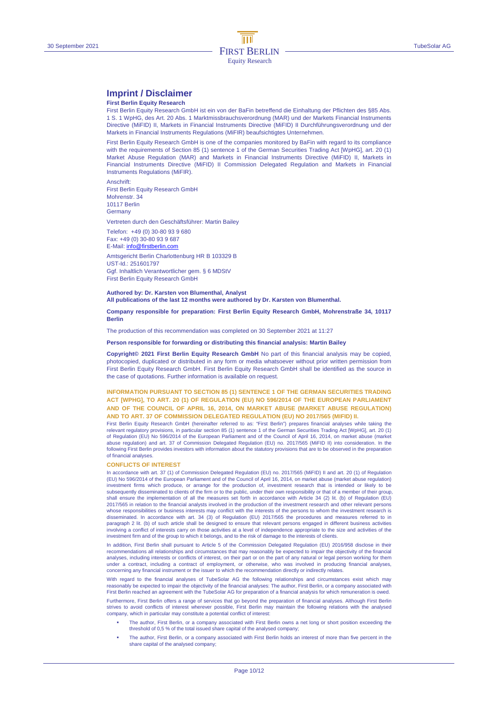## **Imprint / Disclaimer**

#### **First Berlin Equity Research**

First Berlin Equity Research GmbH ist ein von der BaFin betreffend die Einhaltung der Pflichten des §85 Abs. 1 S. 1 WpHG, des Art. 20 Abs. 1 Marktmissbrauchsverordnung (MAR) und der Markets Financial Instruments Directive (MiFID) II, Markets in Financial Instruments Directive (MiFID) II Durchführungsverordnung und der Markets in Financial Instruments Regulations (MiFIR) beaufsichtigtes Unternehmen.

First Berlin Equity Research GmbH is one of the companies monitored by BaFin with regard to its compliance with the requirements of Section 85 (1) sentence 1 of the German Securities Trading Act [WpHG], art. 20 (1) Market Abuse Regulation (MAR) and Markets in Financial Instruments Directive (MiFID) II, Markets in Financial Instruments Directive (MiFID) II Commission Delegated Regulation and Markets in Financial Instruments Regulations (MiFIR).

Anschrift: First Berlin Equity Research GmbH Mohrenstr. 34 10117 Berlin **Germany** 

Vertreten durch den Geschäftsführer: Martin Bailey

Telefon: +49 (0) 30-80 93 9 680 Fax: +49 (0) 30-80 93 9 687

E-Mail: info@firstberlin.com

Amtsgericht Berlin Charlottenburg HR B 103329 B UST-Id.: 251601797 Ggf. Inhaltlich Verantwortlicher gem. § 6 MDStV First Berlin Equity Research GmbH

#### **Authored by: Dr. Karsten von Blumenthal, Analyst All publications of the last 12 months were authored by Dr. Karsten von Blumenthal.**

**Company responsible for preparation: First Berlin Equity Research GmbH, Mohrenstraße 34, 10117 Berlin** 

The production of this recommendation was completed on 30 September 2021 at 11:27

#### **Person responsible for forwarding or distributing this financial analysis: Martin Bailey**

**Copyright© 2021 First Berlin Equity Research GmbH** No part of this financial analysis may be copied, photocopied, duplicated or distributed in any form or media whatsoever without prior written permission from First Berlin Equity Research GmbH. First Berlin Equity Research GmbH shall be identified as the source in the case of quotations. Further information is available on request.

#### **INFORMATION PURSUANT TO SECTION 85 (1) SENTENCE 1 OF THE GERMAN SECURITIES TRADING ACT [WPHG], TO ART. 20 (1) OF REGULATION (EU) NO 596/2014 OF THE EUROPEAN PARLIAMENT AND OF THE COUNCIL OF APRIL 16, 2014, ON MARKET ABUSE (MARKET ABUSE REGULATION) AND TO ART. 37 OF COMMISSION DELEGATED REGULATION (EU) NO 2017/565 (MIFID) II.**

First Berlin Equity Research GmbH (hereinafter referred to as: "First Berlin") prepares financial analyses while taking the relevant regulatory provisions, in particular section 85 (1) sentence 1 of the German Securities Trading Act [WpHG], art. 20 (1) of Regulation (EU) No 596/2014 of the European Parliament and of the Council of April 16, 2014, on market abuse (market abuse regulation) and art. 37 of Commission Delegated Regulation (EU) no. 2017/565 (MiFID II) into consideration. In the following First Berlin provides investors with information about the statutory provisions that are to be observed in the preparation of financial analyses.

#### **CONFLICTS OF INTEREST**

In accordance with art. 37 (1) of Commission Delegated Regulation (EU) no. 2017/565 (MiFID) II and art. 20 (1) of Regulation (EU) No 596/2014 of the European Parliament and of the Council of April 16, 2014, on market abuse (market abuse regulation) investment firms which produce, or arrange for the production of, investment research that is intended or likely to be<br>subsequently disseminated to clients of the firm or to the public, under their own responsibility or th shall ensure the implementation of all the measures set forth in accordance with Article 34 (2) lit. (b) of Regulation (EU) 2017/565 in relation to the financial analysts involved in the production of the investment research and other relevant persons whose responsibilities or business interests may conflict with the interests of the persons to whom the investment research is disseminated. In accordance with art. 34 (3) of Regulation (EU) 2017/565 the procedures and measures referred to in paragraph 2 lit. (b) of such article shall be designed to ensure that relevant persons engaged in different business activities involving a conflict of interests carry on those activities at a level of independence appropriate to the size and activities of the investment firm and of the group to which it belongs, and to the risk of damage to the interests of clients.

In addition, First Berlin shall pursuant to Article 5 of the Commission Delegated Regulation (EU) 2016/958 disclose in their recommendations all relationships and circumstances that may reasonably be expected to impair the objectivity of the financial<br>analyses, including interests or conflicts of interest, on their part or on the part of any nat under a contract, including a contract of employment, or otherwise, who was involved in producing financial analyses, concerning any financial instrument or the issuer to which the recommendation directly or indirectly relates.

With regard to the financial analyses of TubeSolar AG the following relationships and circumstances exist which may reasonably be expected to impair the objectivity of the financial analyses: The author, First Berlin, or a company associated with First Berlin reached an agreement with the TubeSolar AG for preparation of a financial analysis for which remuneration is owed.

Furthermore, First Berlin offers a range of services that go beyond the preparation of financial analyses. Although First Berlin strives to avoid conflicts of interest wherever possible, First Berlin may maintain the following relations with the analysed company, which in particular may constitute a potential conflict of interest:

- The author, First Berlin, or a company associated with First Berlin owns a net long or short position exceeding the threshold of 0,5 % of the total issued share capital of the analysed company;
- The author, First Berlin, or a company associated with First Berlin holds an interest of more than five percent in the share capital of the analysed company;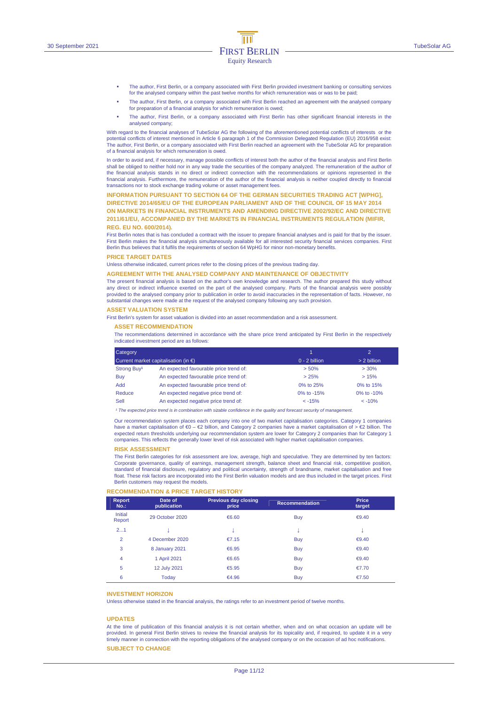- The author, First Berlin, or a company associated with First Berlin provided investment banking or consulting services for the analysed company within the past twelve months for which remuneration was or was to be paid;
- The author, First Berlin, or a company associated with First Berlin reached an agreement with the analysed company for preparation of a financial analysis for which remuneration is owed;
- The author, First Berlin, or a company associated with First Berlin has other significant financial interests in the analysed company;

With regard to the financial analyses of TubeSolar AG the following of the aforementioned potential conflicts of interests or the potential conflicts of interest mentioned in Article 6 paragraph 1 of the Commission Delegated Regulation (EU) 2016/958 exist: The author, First Berlin, or a company associated with First Berlin reached an agreement with the TubeSolar AG for preparation of a financial analysis for which remuneration is owed.

In order to avoid and, if necessary, manage possible conflicts of interest both the author of the financial analysis and First Berlin shall be obliged to neither hold nor in any way trade the securities of the company analyzed. The remuneration of the author of<br>the financial analysis stands in no direct or indirect connection with the recommendations or financial analysis. Furthermore, the remuneration of the author of the financial analysis is neither coupled directly to financial transactions nor to stock exchange trading volume or asset management fees.

#### **INFORMATION PURSUANT TO SECTION 64 OF THE GERMAN SECURITIES TRADING ACT [WPHG],**

**DIRECTIVE 2014/65/EU OF THE EUROPEAN PARLIAMENT AND OF THE COUNCIL OF 15 MAY 2014 ON MARKETS IN FINANCIAL INSTRUMENTS AND AMENDING DIRECTIVE 2002/92/EC AND DIRECTIVE 2011/61/EU, ACCOMPANIED BY THE MARKETS IN FINANCIAL INSTRUMENTS REGULATION (MIFIR, REG. EU NO. 600/2014).** 

First Berlin notes that is has concluded a contract with the issuer to prepare financial analyses and is paid for that by the issuer. First Berlin makes the financial analysis simultaneously available for all interested security financial services companies. First Berlin thus believes that it fulfils the requirements of section 64 WpHG for minor non-monetary benefits.

#### **PRICE TARGET DATES**

Unless otherwise indicated, current prices refer to the closing prices of the previous trading day.

#### **AGREEMENT WITH THE ANALYSED COMPANY AND MAINTENANCE OF OBJECTIVITY**

The present financial analysis is based on the author's own knowledge and research. The author prepared this study without any direct or indirect influence exerted on the part of the analysed company. Parts of the financial analysis were possibly provided to the analysed company prior to publication in order to avoid inaccuracies in the representation of facts. However, no substantial changes were made at the request of the analysed company following any such provision.

#### **ASSET VALUATION SYSTEM**

First Berlin's system for asset valuation is divided into an asset recommendation and a risk assessment.

#### **ASSET RECOMMENDATION**

The recommendations determined in accordance with the share price trend anticipated by First Berlin in the respectively indicated investment period are as follows:

| Category<br>Current market capitalisation (in $\epsilon$ ) |                                        |                 | $\mathcal{D}$ |
|------------------------------------------------------------|----------------------------------------|-----------------|---------------|
|                                                            |                                        | $0 - 2$ billion | > 2 billion   |
| Strong Buy <sup>1</sup>                                    | An expected favourable price trend of: | > 50%           | >30%          |
| Buy                                                        | An expected favourable price trend of: | > 25%           | >15%          |
| <b>Add</b>                                                 | An expected favourable price trend of: | 0% to 25%       | 0% to 15%     |
| Reduce                                                     | An expected negative price trend of:   | 0% to -15%      | 0% to $-10%$  |
| Sell                                                       | An expected negative price trend of:   | $< -15%$        | $< -10%$      |

<sup>1</sup> The expected price trend is in combination with sizable confidence in the quality and forecast security of managem

Our recommendation system places each company into one of two market capitalisation categories. Category 1 companies have a market capitalisation of €0 – €2 billion, and Category 2 companies have a market capitalisation of > €2 billion. The expected return thresholds underlying our recommendation system are lower for Category 2 companies than for Category 1 companies. This reflects the generally lower level of risk associated with higher market capitalisation companies.

#### **RISK ASSESSMENT**

The First Berlin categories for risk assessment are low, average, high and speculative. They are determined by ten factors: Corporate governance, quality of earnings, management strength, balance sheet and financial risk, competitive position, standard of financial disclosure, regulatory and political uncertainty, strength of brandname, market capitalisation and free float. These risk factors are incorporated into the First Berlin valuation models and are thus included in the target prices. First Berlin customers may request the models.

#### **RECOMMENDATION & PRICE TARGET HISTORY**

| <b>Report</b><br>$No.$ : | Date of<br>publication | <b>Previous day closing</b><br>price | <b>Recommendation</b> | <b>Price</b><br>target |
|--------------------------|------------------------|--------------------------------------|-----------------------|------------------------|
| Initial<br>Report        | 29 October 2020        | €6.60                                | <b>Buy</b>            | € $9.40$               |
| 21                       |                        |                                      | ÷                     |                        |
| $\overline{2}$           | 4 December 2020        | €7.15                                | <b>Buy</b>            | € $9.40$               |
| 3                        | 8 January 2021         | €6.95                                | <b>Buy</b>            | € $9.40$               |
| $\overline{4}$           | 1 April 2021           | €6.65                                | <b>Buy</b>            | $\epsilon$ 9.40        |
| 5                        | 12 July 2021           | €5.95                                | <b>Buy</b>            | €7.70                  |
| 6                        | Today                  | €4.96                                | <b>Buy</b>            | €7.50                  |

#### **INVESTMENT HORIZON**

Unless otherwise stated in the financial analysis, the ratings refer to an investment period of twelve months.

#### **UPDATES**

At the time of publication of this financial analysis it is not certain whether, when and on what occasion an update will be provided. In general First Berlin strives to review the financial analysis for its topicality and, if required, to update it in a very timely manner in connection with the reporting obligations of the analysed company or on the occasion of ad hoc notifications.

### **SUBJECT TO CHANGE**